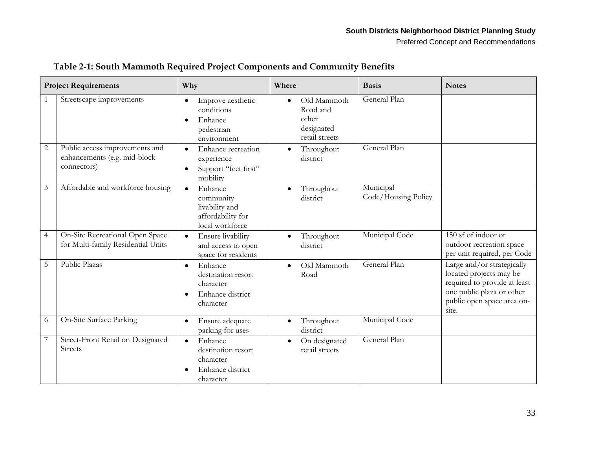| <b>Project Requirements</b> |                                                                               | Why                                                                                               | Where                                                            | <b>Basis</b>                     | <b>Notes</b>                                                                                                                                              |
|-----------------------------|-------------------------------------------------------------------------------|---------------------------------------------------------------------------------------------------|------------------------------------------------------------------|----------------------------------|-----------------------------------------------------------------------------------------------------------------------------------------------------------|
|                             | Streetscape improvements                                                      | Improve aesthetic<br>$\bullet$<br>conditions<br>Enhance<br>$\bullet$<br>pedestrian<br>environment | Old Mammoth<br>Road and<br>other<br>designated<br>retail streets | General Plan                     |                                                                                                                                                           |
| $\sqrt{2}$                  | Public access improvements and<br>enhancements (e.g. mid-block<br>connectors) | Enhance recreation<br>$\bullet$<br>experience<br>Support "feet first"<br>$\bullet$<br>mobility    | Throughout<br>$\bullet$<br>district                              | General Plan                     |                                                                                                                                                           |
| 3                           | Affordable and workforce housing                                              | Enhance<br>$\bullet$<br>community<br>livability and<br>affordability for<br>local workforce       | Throughout<br>district                                           | Municipal<br>Code/Housing Policy |                                                                                                                                                           |
| $\overline{4}$              | On-Site Recreational Open Space<br>for Multi-family Residential Units         | Ensure livability<br>$\bullet$<br>and access to open<br>space for residents                       | Throughout<br>district                                           | Municipal Code                   | 150 sf of indoor or<br>outdoor recreation space<br>per unit required, per Code                                                                            |
| $\overline{5}$              | Public Plazas                                                                 | Enhance<br>$\bullet$<br>destination resort<br>character<br>Enhance district<br>character          | Old Mammoth<br>Road                                              | General Plan                     | Large and/or strategically<br>located projects may be<br>required to provide at least<br>one public plaza or other<br>public open space area on-<br>site. |
| 6                           | On-Site Surface Parking                                                       | Ensure adequate<br>$\bullet$<br>parking for uses                                                  | Throughout<br>district                                           | Municipal Code                   |                                                                                                                                                           |
|                             | Street-Front Retail on Designated<br><b>Streets</b>                           | Enhance<br>$\bullet$<br>destination resort<br>character<br>Enhance district<br>character          | On designated<br>$\bullet$<br>retail streets                     | General Plan                     |                                                                                                                                                           |

## **Table 2-1: South Mammoth Required Project Components and Community Benefits**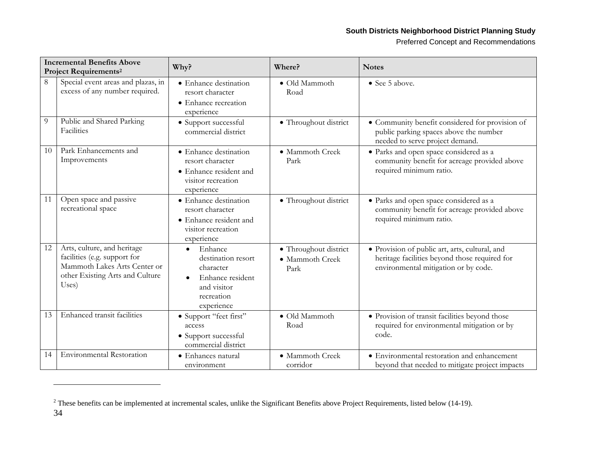## **South Districts Neighborhood District Planning Study**

Preferred Concept and Recommendations

| <b>Incremental Benefits Above</b><br><b>Project Requirements<sup>2</sup></b> |                                                                                                                                         | Why?                                                                                                                   | Where?                                           | <b>Notes</b>                                                                                                                            |
|------------------------------------------------------------------------------|-----------------------------------------------------------------------------------------------------------------------------------------|------------------------------------------------------------------------------------------------------------------------|--------------------------------------------------|-----------------------------------------------------------------------------------------------------------------------------------------|
| 8                                                                            | Special event areas and plazas, in<br>excess of any number required.                                                                    | • Enhance destination<br>resort character<br>• Enhance recreation<br>experience                                        | · Old Mammoth<br>Road                            | • See 5 above.                                                                                                                          |
| 9                                                                            | Public and Shared Parking<br>Facilities                                                                                                 | • Support successful<br>commercial district                                                                            | • Throughout district                            | • Community benefit considered for provision of<br>public parking spaces above the number<br>needed to serve project demand.            |
| 10                                                                           | Park Enhancements and<br>Improvements                                                                                                   | • Enhance destination<br>resort character<br>• Enhance resident and<br>visitor recreation<br>experience                | • Mammoth Creek<br>Park                          | · Parks and open space considered as a<br>community benefit for acreage provided above<br>required minimum ratio.                       |
| 11                                                                           | Open space and passive<br>recreational space                                                                                            | • Enhance destination<br>resort character<br>• Enhance resident and<br>visitor recreation<br>experience                | • Throughout district                            | • Parks and open space considered as a<br>community benefit for acreage provided above<br>required minimum ratio.                       |
| 12                                                                           | Arts, culture, and heritage<br>facilities (e.g. support for<br>Mammoth Lakes Arts Center or<br>other Existing Arts and Culture<br>Uses) | Enhance<br>destination resort<br>character<br>Enhance resident<br>$\bullet$<br>and visitor<br>recreation<br>experience | · Throughout district<br>· Mammoth Creek<br>Park | · Provision of public art, arts, cultural, and<br>heritage facilities beyond those required for<br>environmental mitigation or by code. |
| 13                                                                           | Enhanced transit facilities                                                                                                             | • Support "feet first"<br>access<br>• Support successful<br>commercial district                                        | · Old Mammoth<br>Road                            | · Provision of transit facilities beyond those<br>required for environmental mitigation or by<br>code.                                  |
| 14                                                                           | <b>Environmental Restoration</b>                                                                                                        | • Enhances natural<br>environment                                                                                      | • Mammoth Creek<br>corridor                      | • Environmental restoration and enhancement<br>beyond that needed to mitigate project impacts                                           |

 $2$  These benefits can be implemented at incremental scales, unlike the Significant Benefits above Project Requirements, listed below (14-19).